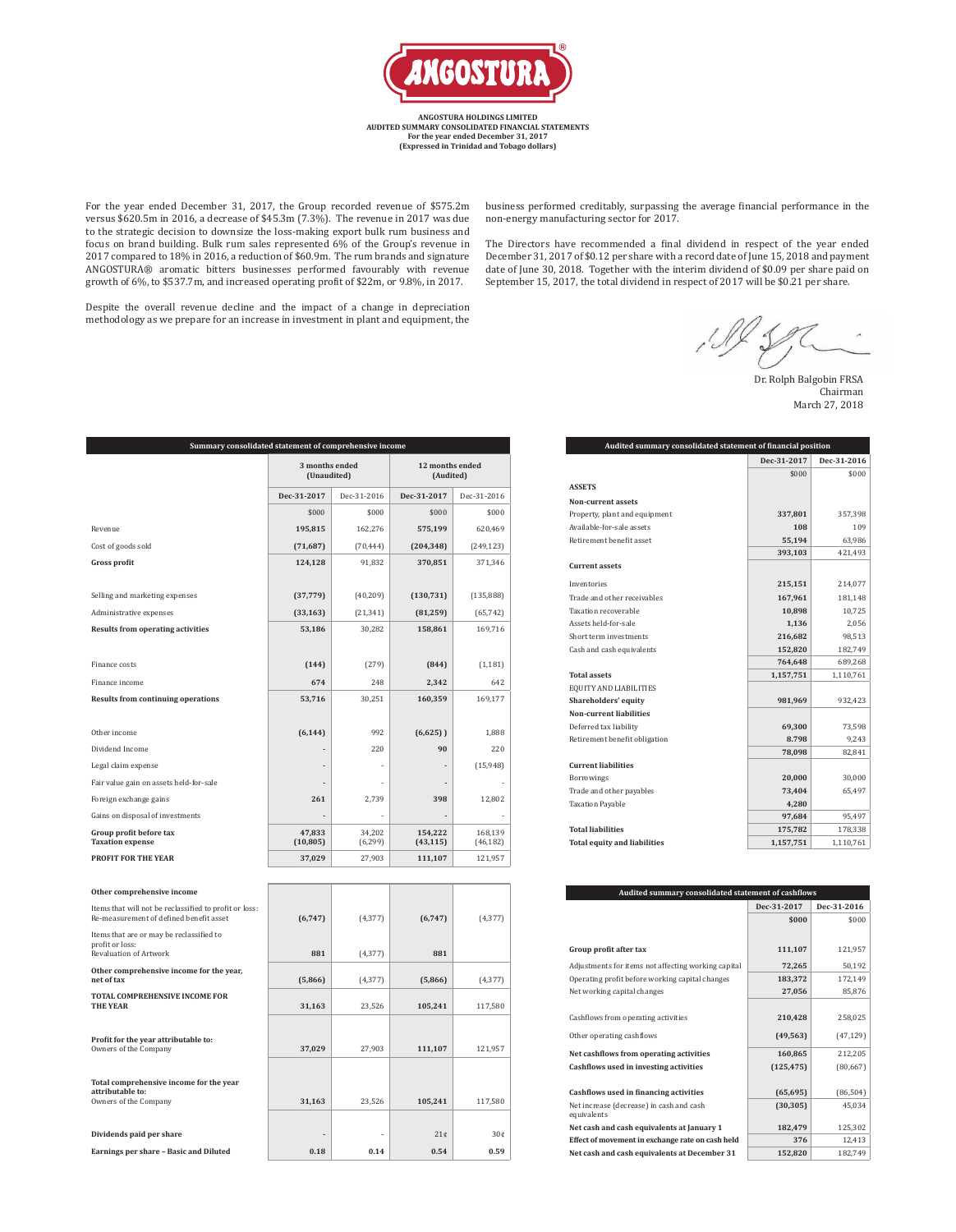

**ANGOSTURA HOLDINGS LIMITED AUDITED SUMMARY CONSOLIDATED FINANCIAL STATEMENTS For the year ended December 31, 2017 (Expressed in Trinidad and Tobago dollars)**

For the year ended December 31, 2017, the Group recorded revenue of \$575.2m versus \$620.5m in 2016, a decrease of \$45.3m (7.3%). The revenue in 2017 was due to the strategic decision to downsize the loss-making export bulk rum business and focus on brand building. Bulk rum sales represented 6% of the Group's revenue in 2017 compared to 18% in 2016, a reduction of \$60.9m. The rum brands and signature ANGOSTURA® aromatic bitters businesses performed favourably with revenue growth of 6%, to \$537.7m, and increased operating profit of \$22m, or 9.8%, in 2017.

business performed creditably, surpassing the average financial performance in the non-energy manufacturing sector for 2017.

The Directors have recommended a final dividend in respect of the year ended December 31, 2017 of \$0.12 per share with a record date of June 15, 2018 and payment date of June 30, 2018. Together with the interim dividend of \$0.09 per share paid on September 15, 2017, the total dividend in respect of 2017 will be \$0.21 per share.

Despite the overall revenue decline and the impact of a change in depreciation methodology as we prepare for an increase in investment in plant and equipment, the

 $1025$ 

Dr. Rolph Balgobin FRSA Chairman March 27, 2018

| Summary consolidated statement of comprehensive income                                            |                               |                    |                      |                              |  |  |
|---------------------------------------------------------------------------------------------------|-------------------------------|--------------------|----------------------|------------------------------|--|--|
|                                                                                                   | 3 months ended<br>(Unaudited) |                    |                      | 12 months ended<br>(Audited) |  |  |
|                                                                                                   | Dec-31-2017                   | Dec-31-2016        | Dec-31-2017          | Dec-31-2016                  |  |  |
|                                                                                                   | \$000                         | \$000              | \$000                | \$000                        |  |  |
| Revenue                                                                                           | 195,815                       | 162,276            | 575,199              | 620,469                      |  |  |
| Cost of goods sold                                                                                | (71, 687)                     | (70, 444)          | (204, 348)           | (249, 123)                   |  |  |
| <b>Gross profit</b>                                                                               | 124,128                       | 91,832             | 370,851              | 371,346                      |  |  |
| Selling and marketing expenses                                                                    | (37, 779)                     | (40,209)           | (130, 731)           | (135,888)                    |  |  |
| Administrative expenses                                                                           | (33, 163)                     | (21, 341)          | (81, 259)            | (65, 742)                    |  |  |
| <b>Results from operating activities</b>                                                          | 53,186                        | 30,282             | 158,861              | 169,716                      |  |  |
| Finance costs                                                                                     | (144)                         | (279)              | (844)                | (1, 181)                     |  |  |
| Finance income                                                                                    | 674                           | 248                | 2,342                | 642                          |  |  |
| <b>Results from continuing operations</b>                                                         | 53,716                        | 30,251             | 160,359              | 169,177                      |  |  |
| Other income                                                                                      | (6, 144)                      | 992                | (6,625)              | 1,888                        |  |  |
| Dividend Income                                                                                   |                               | 220                | 90                   | 220                          |  |  |
| Legal claim expense                                                                               |                               |                    |                      | (15,948)                     |  |  |
| Fair value gain on assets held-for-sale                                                           |                               |                    |                      |                              |  |  |
| Foreign exchange gains                                                                            | 261                           | 2,739              | 398                  | 12,802                       |  |  |
| Gains on disposal of investments                                                                  |                               |                    |                      |                              |  |  |
| Group profit before tax<br><b>Taxation expense</b>                                                | 47,833<br>(10, 805)           | 34,202<br>(6, 299) | 154,222<br>(43, 115) | 168,139<br>(46, 182)         |  |  |
| <b>PROFIT FOR THE YEAR</b>                                                                        | 37,029                        | 27,903             | 111,107              | 121,957                      |  |  |
| Other comprehensive income                                                                        |                               |                    |                      |                              |  |  |
| Items that will not be reclassified to profit or loss:<br>Re-measurement of defined benefit asset | (6,747)                       | (4, 377)           | (6,747)              | (4, 377)                     |  |  |
| Items that are or may be reclassified to<br>profit or loss:<br>Revaluation of Artwork             | 881                           | (4, 377)           | 881                  |                              |  |  |
| Other comprehensive income for the year,                                                          |                               |                    |                      |                              |  |  |
| net of tax                                                                                        | (5,866)                       | (4, 377)           | (5,866)              | (4, 377)                     |  |  |

| Items that will not be reclassified to profit or loss:<br>Re-measurement of defined benefit asset | (6,747) | (4, 377)  | (6,747) | (4, 377)        |
|---------------------------------------------------------------------------------------------------|---------|-----------|---------|-----------------|
| Items that are or may be reclassified to<br>profit or loss:<br>Revaluation of Artwork             | 881     | (4, 377)  | 881     |                 |
| Other comprehensive income for the year,<br>net of tax                                            | (5,866) | (4, 377)  | (5,866) | (4, 377)        |
| <b>TOTAL COMPREHENSIVE INCOME FOR</b><br><b>THE YEAR</b>                                          | 31,163  | 23,526    | 105,241 | 117,580         |
| Profit for the year attributable to:<br>Owners of the Company                                     | 37,029  | 27,903    | 111,107 | 121,957         |
| Total comprehensive income for the year<br>attributable to:<br>Owners of the Company              | 31,163  | 23,526    | 105,241 | 117,580         |
|                                                                                                   |         |           | 21¢     | 30 <sub>0</sub> |
| Dividends paid per share<br>Earnings per share - Basic and Diluted                                | 0.18    | ٠<br>0.14 | 0.54    | 0.59            |
|                                                                                                   |         |           |         |                 |

| Audited summary consolidated statement of financial position |             |             |  |  |
|--------------------------------------------------------------|-------------|-------------|--|--|
|                                                              | Dec-31-2017 | Dec-31-2016 |  |  |
|                                                              | \$000       | \$000       |  |  |
| <b>ASSETS</b>                                                |             |             |  |  |
| <b>Non-current assets</b>                                    |             |             |  |  |
| Property, plant and equipment                                | 337,801     | 357,398     |  |  |
| Available-for-sale assets                                    | 108         | 109         |  |  |
| Retirement benefit asset                                     | 55,194      | 63,986      |  |  |
|                                                              | 393,103     | 421,493     |  |  |
| <b>Current assets</b>                                        |             |             |  |  |
| Inventories                                                  | 215,151     | 214,077     |  |  |
| Trade and other receivables                                  | 167,961     | 181,148     |  |  |
| Taxation recoverable                                         | 10,898      | 10,725      |  |  |
| Assets held-for-sale                                         | 1,136       | 2,056       |  |  |
| Short term investments                                       | 216,682     | 98,513      |  |  |
| Cash and cash equivalents                                    | 152,820     | 182,749     |  |  |
|                                                              | 764,648     | 689,268     |  |  |
| <b>Total assets</b>                                          | 1,157,751   | 1,110,761   |  |  |
| EQUITY AND LIABILITIES                                       |             |             |  |  |
| Shareholders' equity                                         | 981,969     | 932,423     |  |  |
| <b>Non-current liabilities</b>                               |             |             |  |  |
| Deferred tax liability                                       | 69,300      | 73,598      |  |  |
| Retirement benefit obligation                                | 8.798       | 9,243       |  |  |
|                                                              | 78,098      | 82,841      |  |  |
| <b>Current liabilities</b>                                   |             |             |  |  |
| Borrowings                                                   | 20,000      | 30,000      |  |  |
| Trade and other payables                                     | 73,404      | 65,497      |  |  |
| <b>Taxation Payable</b>                                      | 4,280       |             |  |  |
|                                                              | 97,684      | 95,497      |  |  |
| <b>Total liabilities</b>                                     | 175,782     | 178,338     |  |  |
| <b>Total equity and liabilities</b>                          | 1,157,751   | 1,110,761   |  |  |

| Audited summary consolidated statement of cashflows     |             |             |  |  |
|---------------------------------------------------------|-------------|-------------|--|--|
|                                                         | Dec-31-2017 | Dec-31-2016 |  |  |
|                                                         | \$000       | \$000       |  |  |
|                                                         |             |             |  |  |
| Group profit after tax                                  | 111,107     | 121,957     |  |  |
| Adjustments for items not affecting working capital     | 72,265      | 50,192      |  |  |
| Operating profit before working capital changes         | 183,372     | 172,149     |  |  |
| Net working capital changes                             | 27,056      | 85,876      |  |  |
|                                                         |             |             |  |  |
| Cashflows from operating activities                     | 210,428     | 258,025     |  |  |
| Other operating cashflows                               | (49, 563)   | (47, 129)   |  |  |
| Net cashflows from operating activities                 | 160,865     | 212,205     |  |  |
| Cashflows used in investing activities                  | (125, 475)  | (80, 667)   |  |  |
|                                                         |             |             |  |  |
| Cashflows used in financing activities                  | (65, 695)   | (86, 504)   |  |  |
| Net increase (decrease) in cash and cash<br>equivalents | (30, 305)   | 45,034      |  |  |
| Net cash and cash equivalents at January 1              | 182,479     | 125,302     |  |  |
| Effect of movement in exchange rate on cash held        | 376         | 12,413      |  |  |
| Net cash and cash equivalents at December 31            | 152,820     | 182,749     |  |  |